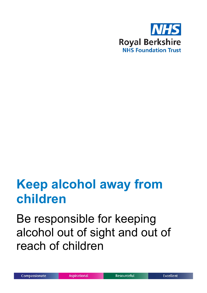

# **Keep alcohol away from children**

Be responsible for keeping alcohol out of sight and out of reach of children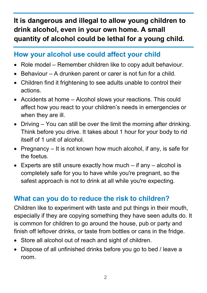**It is dangerous and illegal to allow young children to drink alcohol, even in your own home. A small quantity of alcohol could be lethal for a young child.**

#### **How your alcohol use could affect your child**

- Role model Remember children like to copy adult behaviour.
- Behaviour A drunken parent or carer is not fun for a child.
- Children find it frightening to see adults unable to control their actions.
- Accidents at home Alcohol slows your reactions. This could affect how you react to your children's needs in emergencies or when they are ill.
- Driving You can still be over the limit the morning after drinking. Think before you drive. It takes about 1 hour for your body to rid itself of 1 unit of alcohol.
- Pregnancy It is not known how much alcohol, if any, is safe for the foetus.
- Experts are still unsure exactly how much if any alcohol is completely safe for you to have while you're pregnant, so the safest approach is not to drink at all while you're expecting.

### **What can you do to reduce the risk to children?**

Children like to experiment with taste and put things in their mouth, especially if they are copying something they have seen adults do. It is common for children to go around the house, pub or party and finish off leftover drinks, or taste from bottles or cans in the fridge.

- Store all alcohol out of reach and sight of children.
- Dispose of all unfinished drinks before you go to bed / leave a room.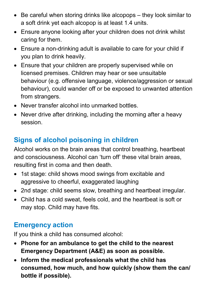- Be careful when storing drinks like alcopops they look similar to a soft drink yet each alcopop is at least 1.4 units.
- Ensure anyone looking after your children does not drink whilst caring for them.
- Ensure a non-drinking adult is available to care for your child if you plan to drink heavily.
- Ensure that your children are properly supervised while on licensed premises. Children may hear or see unsuitable behaviour (e.g. offensive language, violence/aggression or sexual behaviour), could wander off or be exposed to unwanted attention from strangers.
- Never transfer alcohol into unmarked bottles.
- Never drive after drinking, including the morning after a heavy session.

# **Signs of alcohol poisoning in children**

Alcohol works on the brain areas that control breathing, heartbeat and consciousness. Alcohol can 'turn off' these vital brain areas, resulting first in coma and then death.

- 1st stage: child shows mood swings from excitable and aggressive to cheerful, exaggerated laughing
- 2nd stage: child seems slow, breathing and heartbeat irregular.
- Child has a cold sweat, feels cold, and the heartbeat is soft or may stop. Child may have fits.

#### **Emergency action**

If you think a child has consumed alcohol:

- **Phone for an ambulance to get the child to the nearest Emergency Department (A&E) as soon as possible.**
- **Inform the medical professionals what the child has consumed, how much, and how quickly (show them the can/ bottle if possible).**